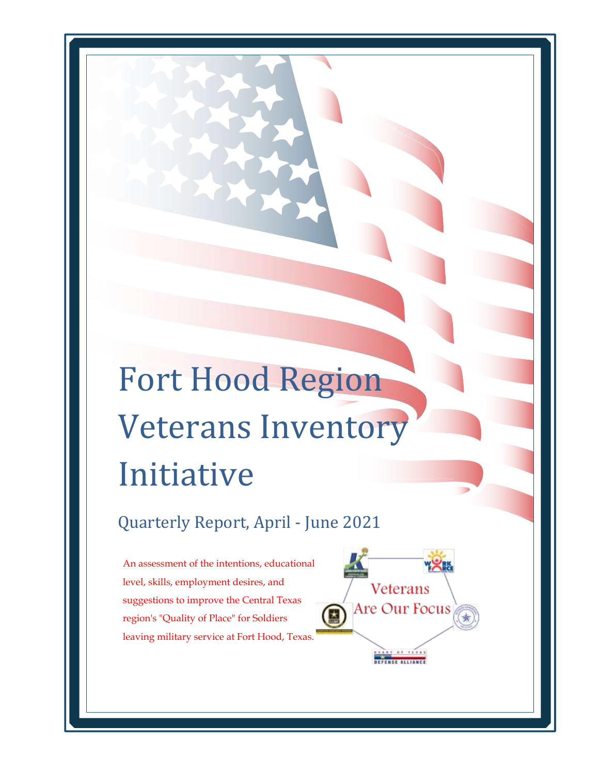# Fort Hood Region Veterans Inventory Initiative

Quarterly Report, April - June 2021

An assessment of the intentions, educational level, skills, employment desires, and suggestions to improve the Central Texas region's "Quality of Place" for Soldiers leaving military service at Fort Hood, Texas.

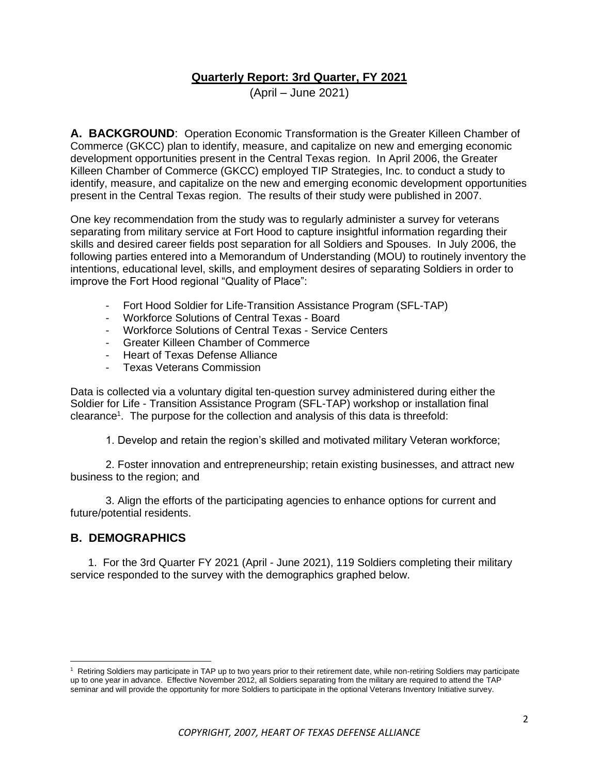#### **Quarterly Report: 3rd Quarter, FY 2021**

(April – June 2021)

**A. BACKGROUND**: Operation Economic Transformation is the Greater Killeen Chamber of Commerce (GKCC) plan to identify, measure, and capitalize on new and emerging economic development opportunities present in the Central Texas region. In April 2006, the Greater Killeen Chamber of Commerce (GKCC) employed TIP Strategies, Inc. to conduct a study to identify, measure, and capitalize on the new and emerging economic development opportunities present in the Central Texas region. The results of their study were published in 2007.

One key recommendation from the study was to regularly administer a survey for veterans separating from military service at Fort Hood to capture insightful information regarding their skills and desired career fields post separation for all Soldiers and Spouses. In July 2006, the following parties entered into a Memorandum of Understanding (MOU) to routinely inventory the intentions, educational level, skills, and employment desires of separating Soldiers in order to improve the Fort Hood regional "Quality of Place":

- Fort Hood Soldier for Life-Transition Assistance Program (SFL-TAP)
- Workforce Solutions of Central Texas Board
- Workforce Solutions of Central Texas Service Centers
- Greater Killeen Chamber of Commerce
- Heart of Texas Defense Alliance
- Texas Veterans Commission

Data is collected via a voluntary digital ten-question survey administered during either the Soldier for Life - Transition Assistance Program (SFL-TAP) workshop or installation final clearance<sup>1</sup>. The purpose for the collection and analysis of this data is threefold:

1. Develop and retain the region's skilled and motivated military Veteran workforce;

2. Foster innovation and entrepreneurship; retain existing businesses, and attract new business to the region; and

3. Align the efforts of the participating agencies to enhance options for current and future/potential residents.

#### **B. DEMOGRAPHICS**

1. For the 3rd Quarter FY 2021 (April - June 2021), 119 Soldiers completing their military service responded to the survey with the demographics graphed below.

<sup>&</sup>lt;sup>1</sup> Retiring Soldiers may participate in TAP up to two years prior to their retirement date, while non-retiring Soldiers may participate up to one year in advance. Effective November 2012, all Soldiers separating from the military are required to attend the TAP seminar and will provide the opportunity for more Soldiers to participate in the optional Veterans Inventory Initiative survey.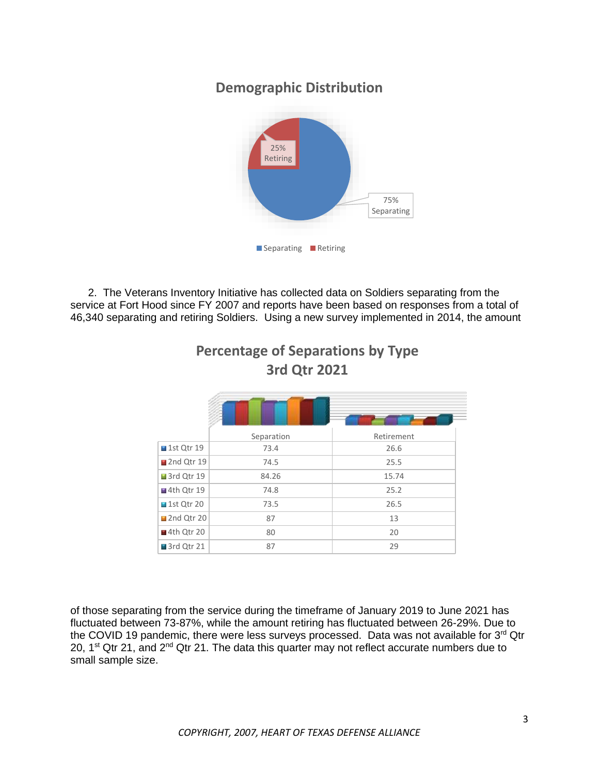# **Demographic Distribution**



2. The Veterans Inventory Initiative has collected data on Soldiers separating from the service at Fort Hood since FY 2007 and reports have been based on responses from a total of 46,340 separating and retiring Soldiers. Using a new survey implemented in 2014, the amount

|                           | Separation | Retirement |
|---------------------------|------------|------------|
| $\blacksquare$ 1st Qtr 19 | 73.4       | 26.6       |
| 2nd Qtr 19                | 74.5       | 25.5       |
| 3rd Qtr 19                | 84.26      | 15.74      |
| $\blacksquare$ 4th Qtr 19 | 74.8       | 25.2       |
| $\blacksquare$ 1st Qtr 20 | 73.5       | 26.5       |
| ■2nd Qtr 20               | 87         | 13         |
| ■4th Qtr 20               | 80         | 20         |
| 3rd Qtr 21                | 87         | 29         |

**Percentage of Separations by Type 3rd Qtr 2021**

of those separating from the service during the timeframe of January 2019 to June 2021 has fluctuated between 73-87%, while the amount retiring has fluctuated between 26-29%. Due to the COVID 19 pandemic, there were less surveys processed. Data was not available for 3<sup>rd</sup> Qtr 20,  $1<sup>st</sup>$  Qtr 21, and  $2<sup>nd</sup>$  Qtr 21. The data this quarter may not reflect accurate numbers due to small sample size.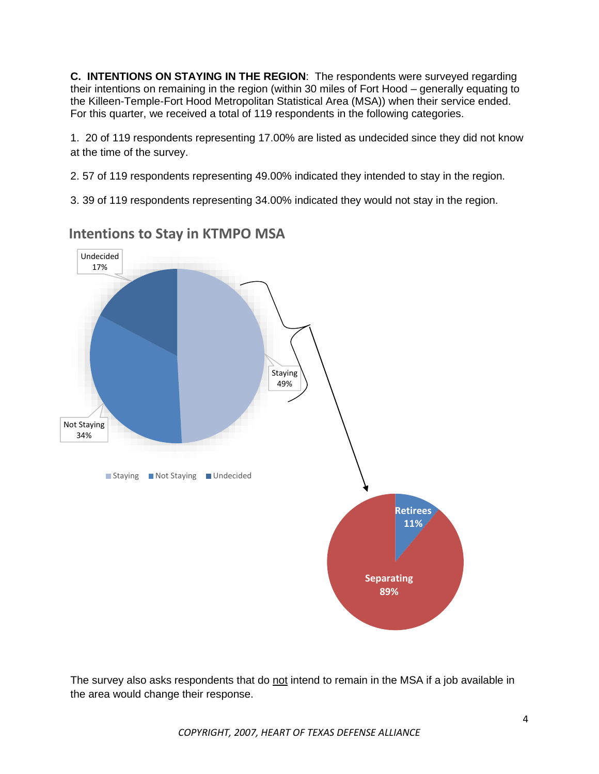**C. INTENTIONS ON STAYING IN THE REGION**: The respondents were surveyed regarding their intentions on remaining in the region (within 30 miles of Fort Hood – generally equating to the Killeen-Temple-Fort Hood Metropolitan Statistical Area (MSA)) when their service ended. For this quarter, we received a total of 119 respondents in the following categories.

1. 20 of 119 respondents representing 17.00% are listed as undecided since they did not know at the time of the survey.

2. 57 of 119 respondents representing 49.00% indicated they intended to stay in the region.

3. 39 of 119 respondents representing 34.00% indicated they would not stay in the region.



**Intentions to Stay in KTMPO MSA**

The survey also asks respondents that do not intend to remain in the MSA if a job available in the area would change their response.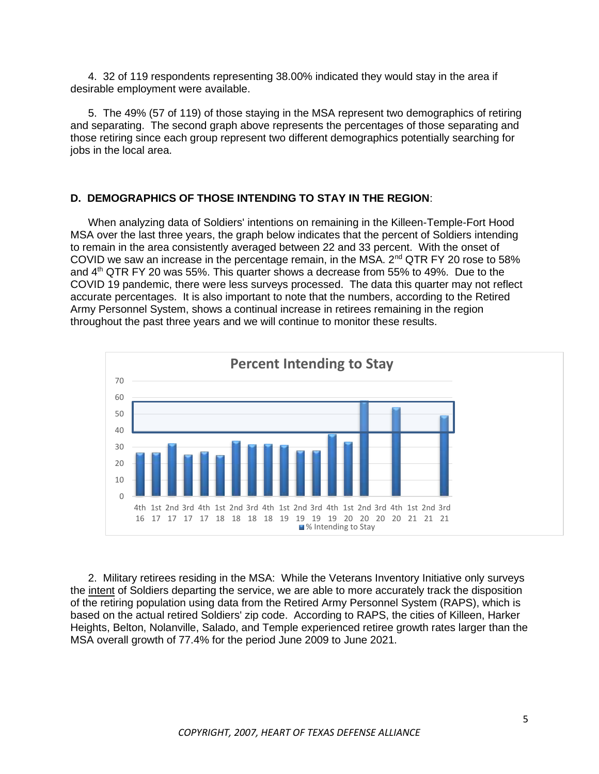4. 32 of 119 respondents representing 38.00% indicated they would stay in the area if desirable employment were available.

5. The 49% (57 of 119) of those staying in the MSA represent two demographics of retiring and separating. The second graph above represents the percentages of those separating and those retiring since each group represent two different demographics potentially searching for jobs in the local area.

#### **D. DEMOGRAPHICS OF THOSE INTENDING TO STAY IN THE REGION**:

When analyzing data of Soldiers' intentions on remaining in the Killeen-Temple-Fort Hood MSA over the last three years, the graph below indicates that the percent of Soldiers intending to remain in the area consistently averaged between 22 and 33 percent. With the onset of COVID we saw an increase in the percentage remain, in the MSA.  $2^{nd}$  QTR FY 20 rose to 58% and 4th QTR FY 20 was 55%. This quarter shows a decrease from 55% to 49%. Due to the COVID 19 pandemic, there were less surveys processed. The data this quarter may not reflect accurate percentages. It is also important to note that the numbers, according to the Retired Army Personnel System, shows a continual increase in retirees remaining in the region throughout the past three years and we will continue to monitor these results.



2. Military retirees residing in the MSA: While the Veterans Inventory Initiative only surveys the intent of Soldiers departing the service, we are able to more accurately track the disposition of the retiring population using data from the Retired Army Personnel System (RAPS), which is based on the actual retired Soldiers' zip code. According to RAPS, the cities of Killeen, Harker Heights, Belton, Nolanville, Salado, and Temple experienced retiree growth rates larger than the MSA overall growth of 77.4% for the period June 2009 to June 2021.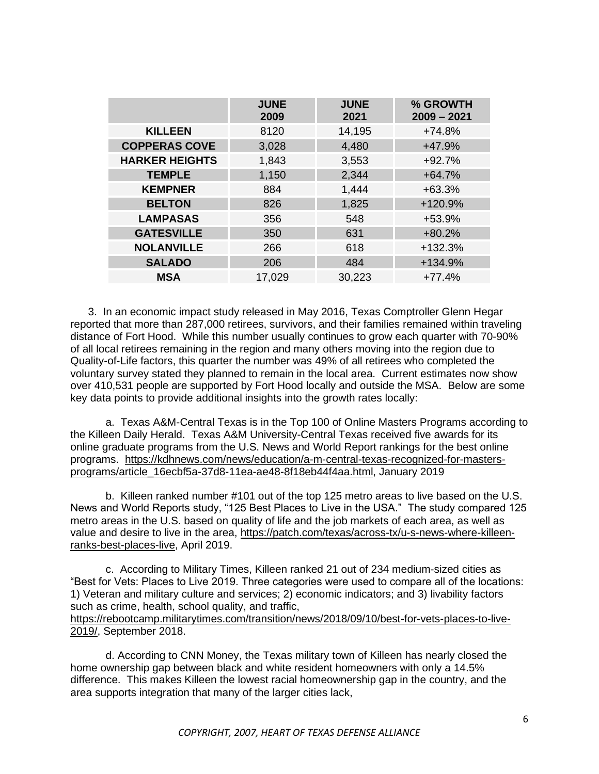|                       | <b>JUNE</b><br>2009 | <b>JUNE</b><br>2021 | % GROWTH<br>$2009 - 2021$ |
|-----------------------|---------------------|---------------------|---------------------------|
| <b>KILLEEN</b>        | 8120                | 14,195              | $+74.8%$                  |
| <b>COPPERAS COVE</b>  | 3,028               | 4,480               | $+47.9%$                  |
| <b>HARKER HEIGHTS</b> | 1,843               | 3,553               | $+92.7%$                  |
| <b>TEMPLE</b>         | 1,150               | 2,344               | $+64.7%$                  |
| <b>KEMPNER</b>        | 884                 | 1,444               | $+63.3%$                  |
| <b>BELTON</b>         | 826                 | 1,825               | +120.9%                   |
| <b>LAMPASAS</b>       | 356                 | 548                 | $+53.9%$                  |
| <b>GATESVILLE</b>     | 350                 | 631                 | $+80.2%$                  |
| <b>NOLANVILLE</b>     | 266                 | 618                 | $+132.3%$                 |
| <b>SALADO</b>         | 206                 | 484                 | +134.9%                   |
| <b>MSA</b>            | 17,029              | 30,223              | $+77.4%$                  |

3. In an economic impact study released in May 2016, Texas Comptroller Glenn Hegar reported that more than 287,000 retirees, survivors, and their families remained within traveling distance of Fort Hood. While this number usually continues to grow each quarter with 70-90% of all local retirees remaining in the region and many others moving into the region due to Quality-of-Life factors, this quarter the number was 49% of all retirees who completed the voluntary survey stated they planned to remain in the local area. Current estimates now show over 410,531 people are supported by Fort Hood locally and outside the MSA. Below are some key data points to provide additional insights into the growth rates locally:

a. Texas A&M-Central Texas is in the Top 100 of Online Masters Programs according to the Killeen Daily Herald. Texas A&M University-Central Texas received five awards for its online graduate programs from the U.S. News and World Report rankings for the best online programs. [https://kdhnews.com/news/education/a-m-central-texas-recognized-for-masters](https://kdhnews.com/news/education/a-m-central-texas-recognized-for-masters-programs/article_16ecbf5a-37d8-11ea-ae48-8f18eb44f4aa.html)[programs/article\\_16ecbf5a-37d8-11ea-ae48-8f18eb44f4aa.html,](https://kdhnews.com/news/education/a-m-central-texas-recognized-for-masters-programs/article_16ecbf5a-37d8-11ea-ae48-8f18eb44f4aa.html) January 2019

b. Killeen ranked number #101 out of the top 125 metro areas to live based on the U.S. News and World Reports study, "125 Best Places to Live in the USA." The study compared 125 metro areas in the U.S. based on quality of life and the job markets of each area, as well as value and desire to live in the area, https://patch.com/texas/across-tx/u-s-news-where-killeenranks-best-places-live, April 2019.

c. According to Military Times, Killeen ranked 21 out of 234 medium-sized cities as "Best for Vets: Places to Live 2019. Three categories were used to compare all of the locations: 1) Veteran and military culture and services; 2) economic indicators; and 3) livability factors such as crime, health, school quality, and traffic, [https://rebootcamp.militarytimes.com/transition/news/2018/09/10/best-for-vets-places-to-live-](https://rebootcamp.militarytimes.com/transition/news/2018/09/10/best-for-vets-places-to-live-2019/)[2019/,](https://rebootcamp.militarytimes.com/transition/news/2018/09/10/best-for-vets-places-to-live-2019/) September 2018.

d. According to CNN Money, the Texas military town of Killeen has nearly closed the home ownership gap between black and white resident homeowners with only a 14.5% difference. This makes Killeen the lowest racial homeownership gap in the country, and the area supports integration that many of the larger cities lack,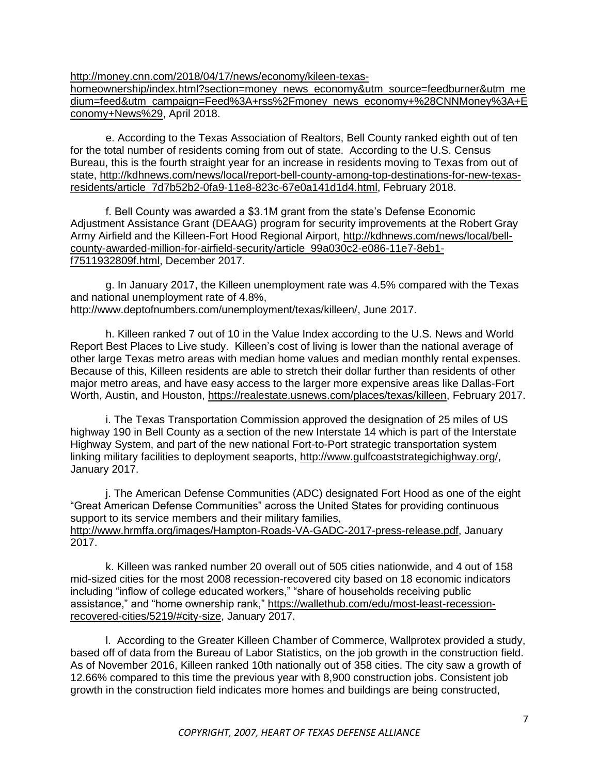[http://money.cnn.com/2018/04/17/news/economy/kileen-texas-](http://money.cnn.com/2018/04/17/news/economy/kileen-texas-homeownership/index.html?section=money_news_economy&utm_source=feedburner&utm_medium=feed&utm_campaign=Feed%3A+rss%2Fmoney_news_economy+%28CNNMoney%3A+Economy+News%29)

[homeownership/index.html?section=money\\_news\\_economy&utm\\_source=feedburner&utm\\_me](http://money.cnn.com/2018/04/17/news/economy/kileen-texas-homeownership/index.html?section=money_news_economy&utm_source=feedburner&utm_medium=feed&utm_campaign=Feed%3A+rss%2Fmoney_news_economy+%28CNNMoney%3A+Economy+News%29) [dium=feed&utm\\_campaign=Feed%3A+rss%2Fmoney\\_news\\_economy+%28CNNMoney%3A+E](http://money.cnn.com/2018/04/17/news/economy/kileen-texas-homeownership/index.html?section=money_news_economy&utm_source=feedburner&utm_medium=feed&utm_campaign=Feed%3A+rss%2Fmoney_news_economy+%28CNNMoney%3A+Economy+News%29) [conomy+News%29,](http://money.cnn.com/2018/04/17/news/economy/kileen-texas-homeownership/index.html?section=money_news_economy&utm_source=feedburner&utm_medium=feed&utm_campaign=Feed%3A+rss%2Fmoney_news_economy+%28CNNMoney%3A+Economy+News%29) April 2018.

e. According to the Texas Association of Realtors, Bell County ranked eighth out of ten for the total number of residents coming from out of state. According to the U.S. Census Bureau, this is the fourth straight year for an increase in residents moving to Texas from out of state, [http://kdhnews.com/news/local/report-bell-county-among-top-destinations-for-new-texas](http://kdhnews.com/news/local/report-bell-county-among-top-destinations-for-new-texas-residents/article_7d7b52b2-0fa9-11e8-823c-67e0a141d1d4.html)[residents/article\\_7d7b52b2-0fa9-11e8-823c-67e0a141d1d4.html,](http://kdhnews.com/news/local/report-bell-county-among-top-destinations-for-new-texas-residents/article_7d7b52b2-0fa9-11e8-823c-67e0a141d1d4.html) February 2018.

f. Bell County was awarded a \$3.1M grant from the state's Defense Economic Adjustment Assistance Grant (DEAAG) program for security improvements at the Robert Gray Army Airfield and the Killeen-Fort Hood Regional Airport, [http://kdhnews.com/news/local/bell](http://kdhnews.com/news/local/bell-county-awarded-million-for-airfield-security/article_99a030c2-e086-11e7-8eb1-f7511932809f.html)[county-awarded-million-for-airfield-security/article\\_99a030c2-e086-11e7-8eb1](http://kdhnews.com/news/local/bell-county-awarded-million-for-airfield-security/article_99a030c2-e086-11e7-8eb1-f7511932809f.html) [f7511932809f.html,](http://kdhnews.com/news/local/bell-county-awarded-million-for-airfield-security/article_99a030c2-e086-11e7-8eb1-f7511932809f.html) December 2017.

g. In January 2017, the Killeen unemployment rate was 4.5% compared with the Texas and national unemployment rate of 4.8%, [http://www.deptofnumbers.com/unemployment/texas/killeen/,](http://www.deptofnumbers.com/unemployment/texas/killeen/) June 2017.

h. Killeen ranked 7 out of 10 in the Value Index according to the U.S. News and World Report Best Places to Live study. Killeen's cost of living is lower than the national average of other large Texas metro areas with median home values and median monthly rental expenses. Because of this, Killeen residents are able to stretch their dollar further than residents of other major metro areas, and have easy access to the larger more expensive areas like Dallas-Fort Worth, Austin, and Houston, [https://realestate.usnews.com/places/texas/killeen,](https://realestate.usnews.com/places/texas/killeen) February 2017.

i. The Texas Transportation Commission approved the designation of 25 miles of US highway 190 in Bell County as a section of the new Interstate 14 which is part of the Interstate Highway System, and part of the new national Fort-to-Port strategic transportation system linking military facilities to deployment seaports, [http://www.gulfcoaststrategichighway.org/,](http://www.gulfcoaststrategichighway.org/) January 2017.

j. The American Defense Communities (ADC) designated Fort Hood as one of the eight "Great American Defense Communities" across the United States for providing continuous support to its service members and their military families. [http://www.hrmffa.org/images/Hampton-Roads-VA-GADC-2017-press-release.pdf,](http://www.hrmffa.org/images/Hampton-Roads-VA-GADC-2017-press-release.pdf) January 2017.

k. Killeen was ranked number 20 overall out of 505 cities nationwide, and 4 out of 158 mid-sized cities for the most 2008 recession-recovered city based on 18 economic indicators including "inflow of college educated workers," "share of households receiving public assistance," and "home ownership rank," [https://wallethub.com/edu/most-least-recession](https://wallethub.com/edu/most-least-recession-recovered-cities/5219/#city-size)[recovered-cities/5219/#city-size,](https://wallethub.com/edu/most-least-recession-recovered-cities/5219/#city-size) January 2017.

l. According to the Greater Killeen Chamber of Commerce, Wallprotex provided a study, based off of data from the Bureau of Labor Statistics, on the job growth in the construction field. As of November 2016, Killeen ranked 10th nationally out of 358 cities. The city saw a growth of 12.66% compared to this time the previous year with 8,900 construction jobs. Consistent job growth in the construction field indicates more homes and buildings are being constructed,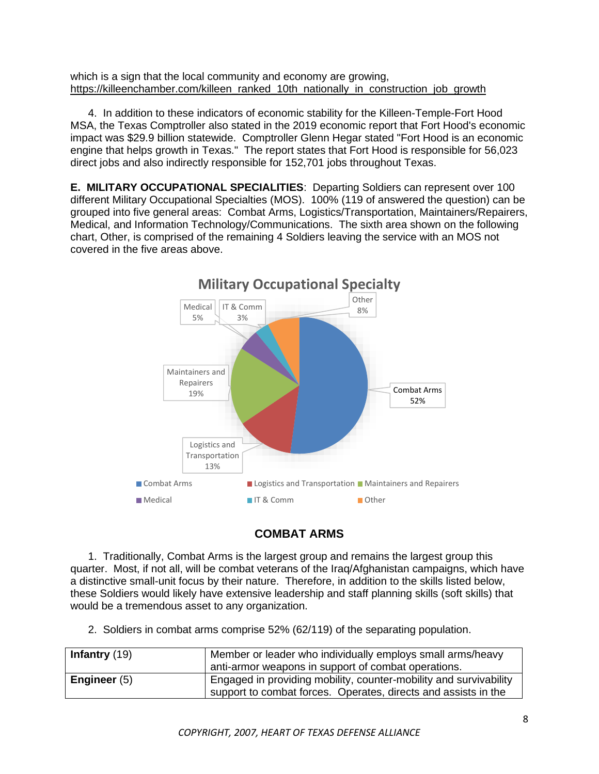which is a sign that the local community and economy are growing. [https://killeenchamber.com/killeen\\_ranked\\_10th\\_nationally\\_in\\_construction\\_job\\_growth](https://killeenchamber.com/killeen_ranked_10th_nationally_in_construction_job_growth)

4. In addition to these indicators of economic stability for the Killeen-Temple-Fort Hood MSA, the Texas Comptroller also stated in the 2019 economic report that Fort Hood's economic impact was \$29.9 billion statewide. Comptroller Glenn Hegar stated "Fort Hood is an economic engine that helps growth in Texas." The report states that Fort Hood is responsible for 56,023 direct jobs and also indirectly responsible for 152,701 jobs throughout Texas.

**E. MILITARY OCCUPATIONAL SPECIALITIES**: Departing Soldiers can represent over 100 different Military Occupational Specialties (MOS). 100% (119 of answered the question) can be grouped into five general areas: Combat Arms, Logistics/Transportation, Maintainers/Repairers, Medical, and Information Technology/Communications. The sixth area shown on the following chart, Other, is comprised of the remaining 4 Soldiers leaving the service with an MOS not covered in the five areas above.



## **COMBAT ARMS**

1. Traditionally, Combat Arms is the largest group and remains the largest group this quarter. Most, if not all, will be combat veterans of the Iraq/Afghanistan campaigns, which have a distinctive small-unit focus by their nature. Therefore, in addition to the skills listed below, these Soldiers would likely have extensive leadership and staff planning skills (soft skills) that would be a tremendous asset to any organization.

2. Soldiers in combat arms comprise 52% (62/119) of the separating population.

| <b>Infantry</b> $(19)$ | Member or leader who individually employs small arms/heavy                                                                          |  |
|------------------------|-------------------------------------------------------------------------------------------------------------------------------------|--|
|                        | anti-armor weapons in support of combat operations.                                                                                 |  |
| Engineer $(5)$         | Engaged in providing mobility, counter-mobility and survivability<br>support to combat forces. Operates, directs and assists in the |  |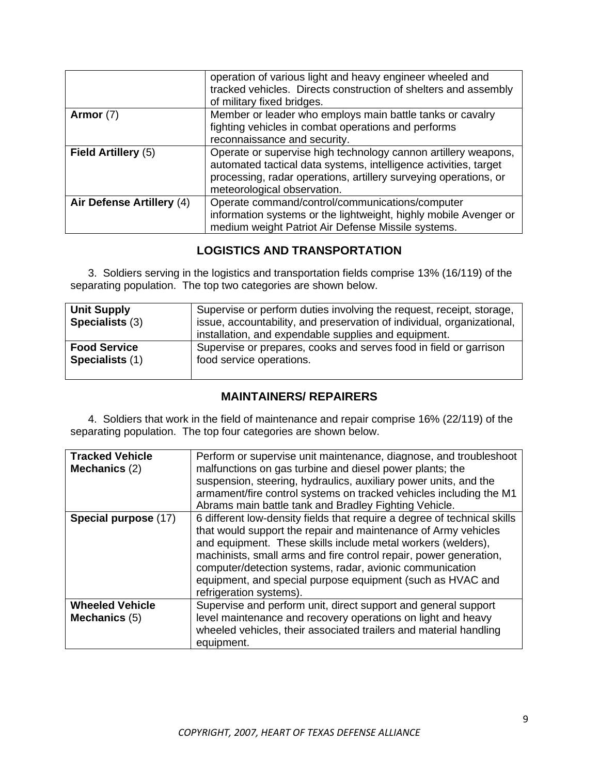|                           | operation of various light and heavy engineer wheeled and<br>tracked vehicles. Directs construction of shelters and assembly<br>of military fixed bridges.                                                                            |
|---------------------------|---------------------------------------------------------------------------------------------------------------------------------------------------------------------------------------------------------------------------------------|
| Armor $(7)$               | Member or leader who employs main battle tanks or cavalry<br>fighting vehicles in combat operations and performs<br>reconnaissance and security.                                                                                      |
| Field Artillery (5)       | Operate or supervise high technology cannon artillery weapons,<br>automated tactical data systems, intelligence activities, target<br>processing, radar operations, artillery surveying operations, or<br>meteorological observation. |
| Air Defense Artillery (4) | Operate command/control/communications/computer<br>information systems or the lightweight, highly mobile Avenger or<br>medium weight Patriot Air Defense Missile systems.                                                             |

## **LOGISTICS AND TRANSPORTATION**

3. Soldiers serving in the logistics and transportation fields comprise 13% (16/119) of the separating population. The top two categories are shown below.

| <b>Unit Supply</b><br><b>Specialists (3)</b> | Supervise or perform duties involving the request, receipt, storage,<br>issue, accountability, and preservation of individual, organizational,<br>installation, and expendable supplies and equipment. |
|----------------------------------------------|--------------------------------------------------------------------------------------------------------------------------------------------------------------------------------------------------------|
| <b>Food Service</b>                          | Supervise or prepares, cooks and serves food in field or garrison                                                                                                                                      |
| Specialists (1)                              | food service operations.                                                                                                                                                                               |

## **MAINTAINERS/ REPAIRERS**

4. Soldiers that work in the field of maintenance and repair comprise 16% (22/119) of the separating population. The top four categories are shown below.

| <b>Tracked Vehicle</b><br>Mechanics (2) | Perform or supervise unit maintenance, diagnose, and troubleshoot<br>malfunctions on gas turbine and diesel power plants; the<br>suspension, steering, hydraulics, auxiliary power units, and the<br>armament/fire control systems on tracked vehicles including the M1<br>Abrams main battle tank and Bradley Fighting Vehicle.                                                                                                     |
|-----------------------------------------|--------------------------------------------------------------------------------------------------------------------------------------------------------------------------------------------------------------------------------------------------------------------------------------------------------------------------------------------------------------------------------------------------------------------------------------|
| Special purpose (17)                    | 6 different low-density fields that require a degree of technical skills<br>that would support the repair and maintenance of Army vehicles<br>and equipment. These skills include metal workers (welders),<br>machinists, small arms and fire control repair, power generation,<br>computer/detection systems, radar, avionic communication<br>equipment, and special purpose equipment (such as HVAC and<br>refrigeration systems). |
| <b>Wheeled Vehicle</b><br>Mechanics (5) | Supervise and perform unit, direct support and general support<br>level maintenance and recovery operations on light and heavy<br>wheeled vehicles, their associated trailers and material handling<br>equipment.                                                                                                                                                                                                                    |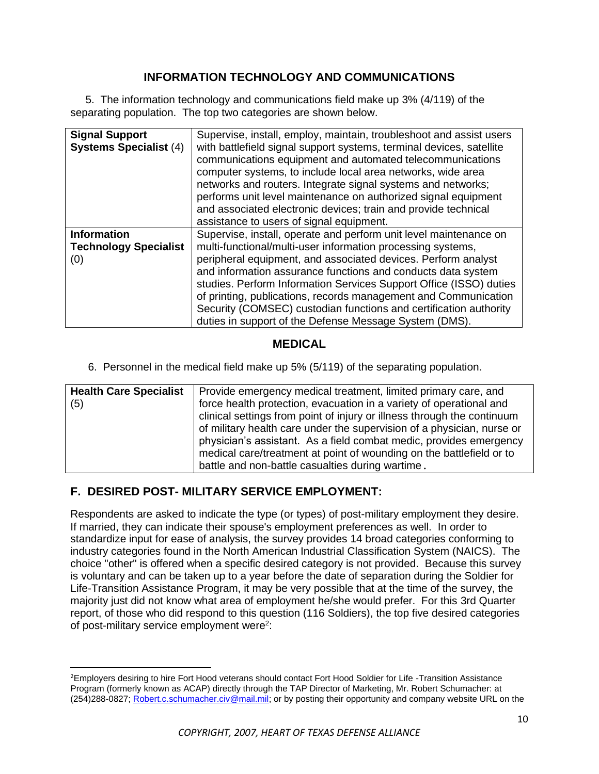## **INFORMATION TECHNOLOGY AND COMMUNICATIONS**

 5. The information technology and communications field make up 3% (4/119) of the separating population. The top two categories are shown below.

| <b>Signal Support</b><br><b>Systems Specialist (4)</b>    | Supervise, install, employ, maintain, troubleshoot and assist users<br>with battlefield signal support systems, terminal devices, satellite<br>communications equipment and automated telecommunications<br>computer systems, to include local area networks, wide area<br>networks and routers. Integrate signal systems and networks;<br>performs unit level maintenance on authorized signal equipment<br>and associated electronic devices; train and provide technical<br>assistance to users of signal equipment.                   |
|-----------------------------------------------------------|-------------------------------------------------------------------------------------------------------------------------------------------------------------------------------------------------------------------------------------------------------------------------------------------------------------------------------------------------------------------------------------------------------------------------------------------------------------------------------------------------------------------------------------------|
| <b>Information</b><br><b>Technology Specialist</b><br>(0) | Supervise, install, operate and perform unit level maintenance on<br>multi-functional/multi-user information processing systems,<br>peripheral equipment, and associated devices. Perform analyst<br>and information assurance functions and conducts data system<br>studies. Perform Information Services Support Office (ISSO) duties<br>of printing, publications, records management and Communication<br>Security (COMSEC) custodian functions and certification authority<br>duties in support of the Defense Message System (DMS). |

#### **MEDICAL**

6. Personnel in the medical field make up 5% (5/119) of the separating population.

| <b>Health Care Specialist</b> | Provide emergency medical treatment, limited primary care, and          |
|-------------------------------|-------------------------------------------------------------------------|
| (5)                           | force health protection, evacuation in a variety of operational and     |
|                               | clinical settings from point of injury or illness through the continuum |
|                               | of military health care under the supervision of a physician, nurse or  |
|                               | physician's assistant. As a field combat medic, provides emergency      |
|                               | medical care/treatment at point of wounding on the battlefield or to    |
|                               | battle and non-battle casualties during wartime.                        |

## **F. DESIRED POST- MILITARY SERVICE EMPLOYMENT:**

Respondents are asked to indicate the type (or types) of post-military employment they desire. If married, they can indicate their spouse's employment preferences as well. In order to standardize input for ease of analysis, the survey provides 14 broad categories conforming to industry categories found in the North American Industrial Classification System (NAICS). The choice "other" is offered when a specific desired category is not provided. Because this survey is voluntary and can be taken up to a year before the date of separation during the Soldier for Life-Transition Assistance Program, it may be very possible that at the time of the survey, the majority just did not know what area of employment he/she would prefer. For this 3rd Quarter report, of those who did respond to this question (116 Soldiers), the top five desired categories of post-military service employment were<sup>2</sup>:

<sup>&</sup>lt;sup>2</sup>Employers desiring to hire Fort Hood veterans should contact Fort Hood Soldier for Life -Transition Assistance Program (formerly known as ACAP) directly through the TAP Director of Marketing, Mr. Robert Schumacher: at (254)288-0827; [Robert.c.schumacher.civ@mail.mil;](mailto:Robert.c.schumacher.civ@mail.mil) or by posting their opportunity and company website URL on the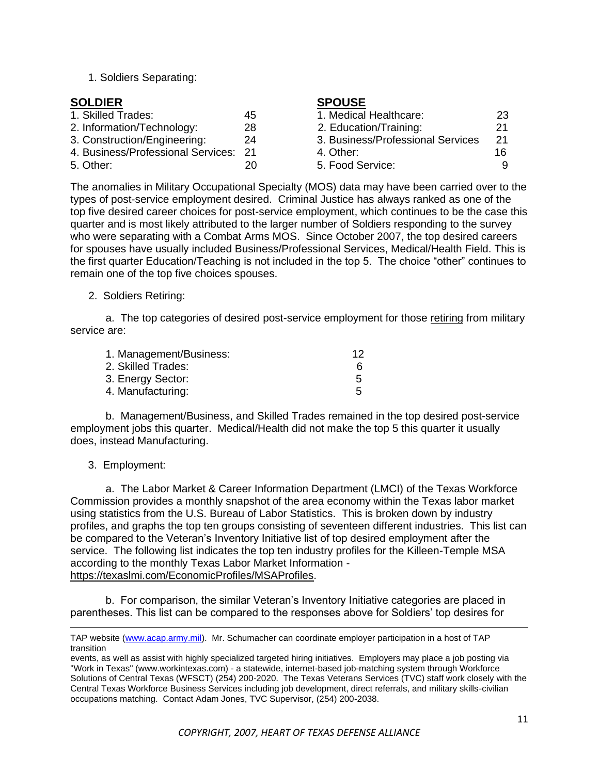1. Soldiers Separating:

| <b>SOLDIER</b>                        |    | <b>SPOUSE</b>                     |    |
|---------------------------------------|----|-----------------------------------|----|
| 1. Skilled Trades:                    | 45 | 1. Medical Healthcare:            | 23 |
| 2. Information/Technology:            | 28 | 2. Education/Training:            | 21 |
| 3. Construction/Engineering:          | 24 | 3. Business/Professional Services | 21 |
| 4. Business/Professional Services: 21 |    | 4. Other:                         | 16 |
| 5. Other:                             | 20 | 5. Food Service:                  |    |

The anomalies in Military Occupational Specialty (MOS) data may have been carried over to the types of post-service employment desired. Criminal Justice has always ranked as one of the top five desired career choices for post-service employment, which continues to be the case this quarter and is most likely attributed to the larger number of Soldiers responding to the survey who were separating with a Combat Arms MOS. Since October 2007, the top desired careers for spouses have usually included Business/Professional Services, Medical/Health Field. This is the first quarter Education/Teaching is not included in the top 5. The choice "other" continues to remain one of the top five choices spouses.

#### 2. Soldiers Retiring:

a. The top categories of desired post-service employment for those retiring from military service are:

| 1. Management/Business: | 12 |
|-------------------------|----|
| 2. Skilled Trades:      |    |
| 3. Energy Sector:       | 5  |
| 4. Manufacturing:       | 5  |

b. Management/Business, and Skilled Trades remained in the top desired post-service employment jobs this quarter. Medical/Health did not make the top 5 this quarter it usually does, instead Manufacturing.

#### 3. Employment:

a. The Labor Market & Career Information Department (LMCI) of the Texas Workforce Commission provides a monthly snapshot of the area economy within the Texas labor market using statistics from the U.S. Bureau of Labor Statistics. This is broken down by industry profiles, and graphs the top ten groups consisting of seventeen different industries. This list can be compared to the Veteran's Inventory Initiative list of top desired employment after the service. The following list indicates the top ten industry profiles for the Killeen-Temple MSA according to the monthly Texas Labor Market Information <https://texaslmi.com/EconomicProfiles/MSAProfiles>.

b. For comparison, the similar Veteran's Inventory Initiative categories are placed in parentheses. This list can be compared to the responses above for Soldiers' top desires for

TAP website [\(www.acap.army.mil\)](http://www.acap.army.mil/). Mr. Schumacher can coordinate employer participation in a host of TAP transition

events, as well as assist with highly specialized targeted hiring initiatives. Employers may place a job posting via "Work in Texas" (www.workintexas.com) - a statewide, internet-based job-matching system through Workforce Solutions of Central Texas (WFSCT) (254) 200-2020. The Texas Veterans Services (TVC) staff work closely with the Central Texas Workforce Business Services including job development, direct referrals, and military skills-civilian occupations matching. Contact Adam Jones, TVC Supervisor, (254) 200-2038.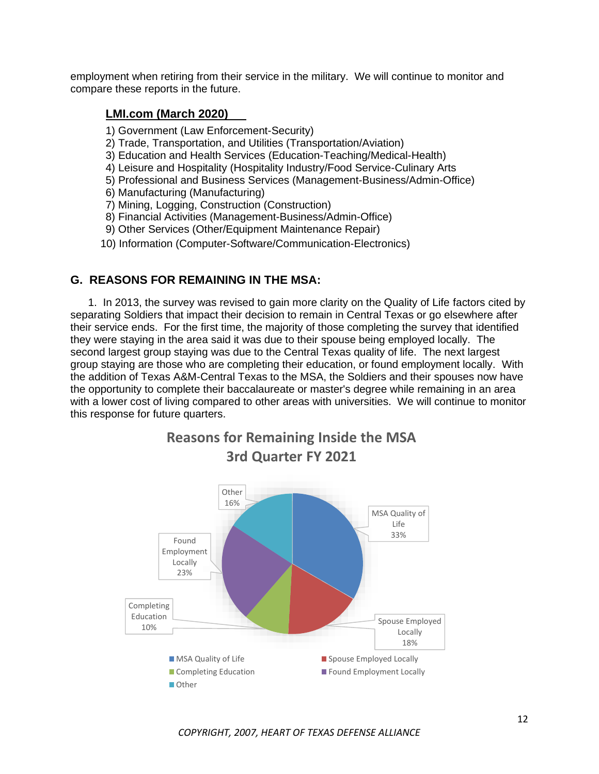employment when retiring from their service in the military. We will continue to monitor and compare these reports in the future.

#### **LMI.com (March 2020)**

- 1) Government (Law Enforcement-Security)
- 2) Trade, Transportation, and Utilities (Transportation/Aviation)
- 3) Education and Health Services (Education-Teaching/Medical-Health)
- 4) Leisure and Hospitality (Hospitality Industry/Food Service-Culinary Arts
- 5) Professional and Business Services (Management-Business/Admin-Office)
- 6) Manufacturing (Manufacturing)
- 7) Mining, Logging, Construction (Construction)
- 8) Financial Activities (Management-Business/Admin-Office)
- 9) Other Services (Other/Equipment Maintenance Repair)
- 10) Information (Computer-Software/Communication-Electronics)

#### **G. REASONS FOR REMAINING IN THE MSA:**

1. In 2013, the survey was revised to gain more clarity on the Quality of Life factors cited by separating Soldiers that impact their decision to remain in Central Texas or go elsewhere after their service ends. For the first time, the majority of those completing the survey that identified they were staying in the area said it was due to their spouse being employed locally. The second largest group staying was due to the Central Texas quality of life. The next largest group staying are those who are completing their education, or found employment locally. With the addition of Texas A&M-Central Texas to the MSA, the Soldiers and their spouses now have the opportunity to complete their baccalaureate or master's degree while remaining in an area with a lower cost of living compared to other areas with universities. We will continue to monitor this response for future quarters.

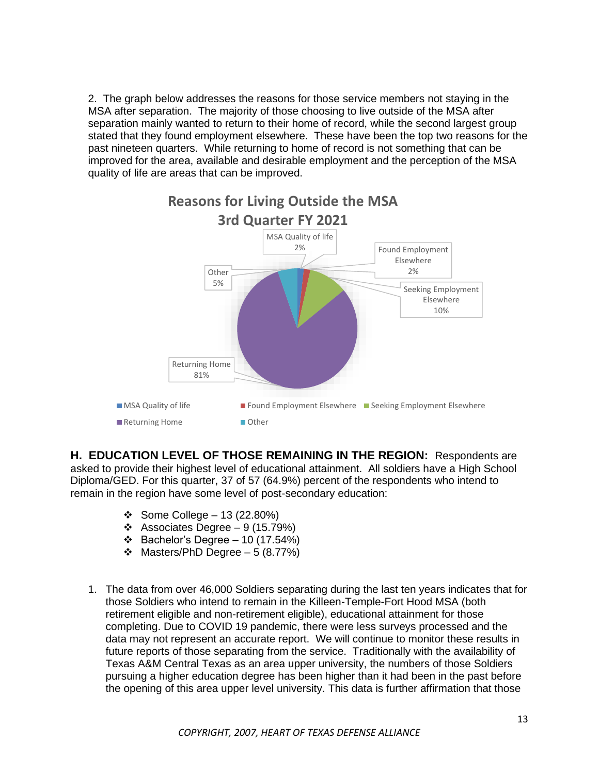2. The graph below addresses the reasons for those service members not staying in the MSA after separation. The majority of those choosing to live outside of the MSA after separation mainly wanted to return to their home of record, while the second largest group stated that they found employment elsewhere. These have been the top two reasons for the past nineteen quarters. While returning to home of record is not something that can be improved for the area, available and desirable employment and the perception of the MSA quality of life are areas that can be improved.



**H. EDUCATION LEVEL OF THOSE REMAINING IN THE REGION:** Respondents are asked to provide their highest level of educational attainment. All soldiers have a High School Diploma/GED. For this quarter, 37 of 57 (64.9%) percent of the respondents who intend to remain in the region have some level of post-secondary education:

- ❖ Some College 13 (22.80%)
- ❖ Associates Degree 9 (15.79%)
- ❖ Bachelor's Degree 10 (17.54%)
- ❖ Masters/PhD Degree 5 (8.77%)
- 1. The data from over 46,000 Soldiers separating during the last ten years indicates that for those Soldiers who intend to remain in the Killeen-Temple-Fort Hood MSA (both retirement eligible and non-retirement eligible), educational attainment for those completing. Due to COVID 19 pandemic, there were less surveys processed and the data may not represent an accurate report. We will continue to monitor these results in future reports of those separating from the service. Traditionally with the availability of Texas A&M Central Texas as an area upper university, the numbers of those Soldiers pursuing a higher education degree has been higher than it had been in the past before the opening of this area upper level university. This data is further affirmation that those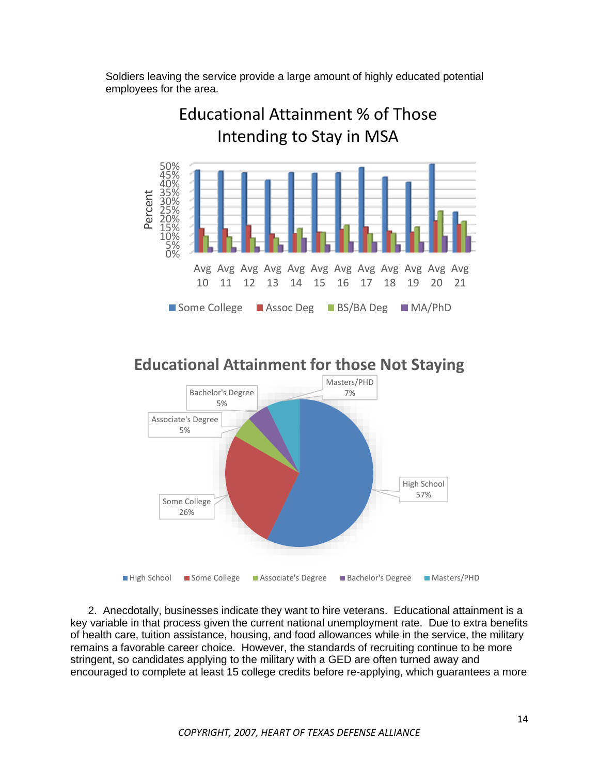Soldiers leaving the service provide a large amount of highly educated potential employees for the area.



High School 57% Some College 26% Associate's Degree 5% Bachelor's Degree 5% Masters/PHD 7% ■ High School ■ Some College ■ Associate's Degree ■ Bachelor's Degree ■ Masters/PHD

**Educational Attainment for those Not Staying**

2. Anecdotally, businesses indicate they want to hire veterans. Educational attainment is a key variable in that process given the current national unemployment rate. Due to extra benefits of health care, tuition assistance, housing, and food allowances while in the service, the military remains a favorable career choice. However, the standards of recruiting continue to be more stringent, so candidates applying to the military with a GED are often turned away and encouraged to complete at least 15 college credits before re-applying, which guarantees a more